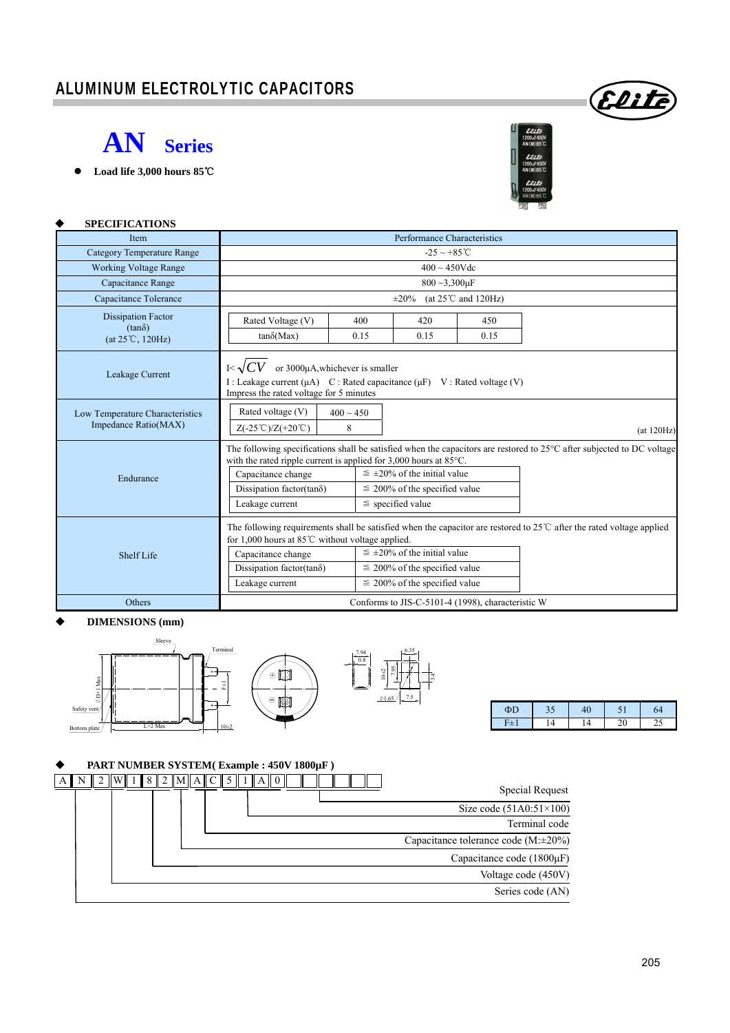## ALUMINUM ELECTROLYTIC CAPACITORS



 **Load life 3,000 hours 85**℃



Elii

### **SPECIFICATIONS**

| Item                                                                    | Performance Characteristics                                                                                                                                               |             |                                                                                                                                                                                                                                                     |                                                                                                                                  |  |  |
|-------------------------------------------------------------------------|---------------------------------------------------------------------------------------------------------------------------------------------------------------------------|-------------|-----------------------------------------------------------------------------------------------------------------------------------------------------------------------------------------------------------------------------------------------------|----------------------------------------------------------------------------------------------------------------------------------|--|--|
| <b>Category Temperature Range</b>                                       | $-25 \sim +85^{\circ}$ C                                                                                                                                                  |             |                                                                                                                                                                                                                                                     |                                                                                                                                  |  |  |
| <b>Working Voltage Range</b>                                            | $400 \sim 450$ Vdc                                                                                                                                                        |             |                                                                                                                                                                                                                                                     |                                                                                                                                  |  |  |
| Capacitance Range                                                       | $800 - 3,300 \mu F$                                                                                                                                                       |             |                                                                                                                                                                                                                                                     |                                                                                                                                  |  |  |
| Capacitance Tolerance                                                   | (at $25^{\circ}$ C and $120$ Hz)<br>$\pm 20\%$                                                                                                                            |             |                                                                                                                                                                                                                                                     |                                                                                                                                  |  |  |
| <b>Dissipation Factor</b><br>$(tan\delta)$<br>$(at 25^{\circ}C, 120Hz)$ | Rated Voltage (V)<br>$tan\delta(Max)$                                                                                                                                     | 400<br>0.15 | 420<br>0.15                                                                                                                                                                                                                                         | 450<br>0.15                                                                                                                      |  |  |
| Leakage Current                                                         | or 3000µA, whichever is smaller<br>$K\sim$<br>I: Leakage current $(\mu A)$ C: Rated capacitance $(\mu F)$ V: Rated voltage (V)<br>Impress the rated voltage for 5 minutes |             |                                                                                                                                                                                                                                                     |                                                                                                                                  |  |  |
| Low Temperature Characteristics<br>Impedance Ratio(MAX)                 | Rated voltage (V)<br>$400 \sim 450$<br>$Z(-25^{\circ}\text{C})/Z(+20^{\circ}\text{C})$<br>8<br>(at 120Hz)                                                                 |             |                                                                                                                                                                                                                                                     |                                                                                                                                  |  |  |
| Endurance                                                               | with the rated ripple current is applied for $3,000$ hours at $85^{\circ}$ C.<br>Capacitance change<br>Dissipation factor(tanõ)<br>Leakage current                        |             | $\leq \pm 20\%$ of the initial value<br>$\leq$ 200% of the specified value<br>$\le$ specified value                                                                                                                                                 | The following specifications shall be satisfied when the capacitors are restored to $25^{\circ}$ C after subjected to DC voltage |  |  |
| Shelf Life                                                              | for 1,000 hours at 85 $\degree$ C without voltage applied.<br>Capacitance change<br>Dissipation factor( $tan\delta$ )<br>Leakage current                                  |             | The following requirements shall be satisfied when the capacitor are restored to $25^{\circ}$ C after the rated voltage applied<br>$\leq \pm 20\%$ of the initial value<br>$\leq$ 200% of the specified value<br>$\leq$ 200% of the specified value |                                                                                                                                  |  |  |
| Others                                                                  | Conforms to JIS-C-5101-4 (1998), characteristic W                                                                                                                         |             |                                                                                                                                                                                                                                                     |                                                                                                                                  |  |  |

#### **DIMENSIONS (mm)**



| ิิน | v |   | 64 |
|-----|---|---|----|
|     |   | - |    |

#### **PART NUMBER SYSTEM( Example : 450V 1800µF )**